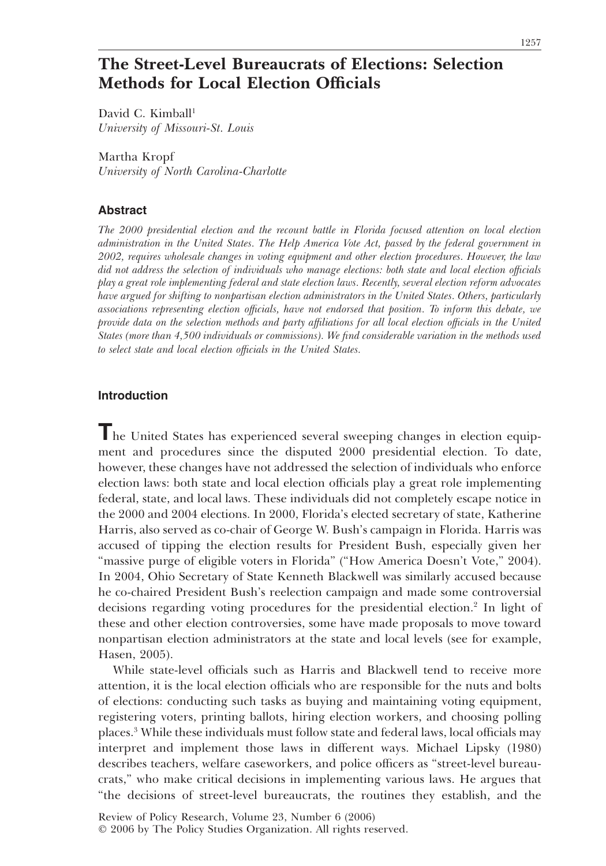# **The Street-Level Bureaucrats of Elections: Selection Methods for Local Election Officials**

David C. Kimball<sup>1</sup> *University of Missouri-St. Louis*

Martha Kropf *University of North Carolina-Charlotte*

## **Abstract**

*The 2000 presidential election and the recount battle in Florida focused attention on local election administration in the United States. The Help America Vote Act, passed by the federal government in 2002, requires wholesale changes in voting equipment and other election procedures. However, the law did not address the selection of individuals who manage elections: both state and local election officials play a great role implementing federal and state election laws. Recently, several election reform advocates have argued for shifting to nonpartisan election administrators in the United States. Others, particularly associations representing election officials, have not endorsed that position. To inform this debate, we provide data on the selection methods and party affiliations for all local election officials in the United States (more than 4,500 individuals or commissions). We find considerable variation in the methods used to select state and local election officials in the United States.*

## **Introduction**

**T**he United States has experienced several sweeping changes in election equipment and procedures since the disputed 2000 presidential election. To date, however, these changes have not addressed the selection of individuals who enforce election laws: both state and local election officials play a great role implementing federal, state, and local laws. These individuals did not completely escape notice in the 2000 and 2004 elections. In 2000, Florida's elected secretary of state, Katherine Harris, also served as co-chair of George W. Bush's campaign in Florida. Harris was accused of tipping the election results for President Bush, especially given her "massive purge of eligible voters in Florida" ("How America Doesn't Vote," 2004). In 2004, Ohio Secretary of State Kenneth Blackwell was similarly accused because he co-chaired President Bush's reelection campaign and made some controversial decisions regarding voting procedures for the presidential election.<sup>2</sup> In light of these and other election controversies, some have made proposals to move toward nonpartisan election administrators at the state and local levels (see for example, Hasen, 2005).

While state-level officials such as Harris and Blackwell tend to receive more attention, it is the local election officials who are responsible for the nuts and bolts of elections: conducting such tasks as buying and maintaining voting equipment, registering voters, printing ballots, hiring election workers, and choosing polling places.<sup>3</sup> While these individuals must follow state and federal laws, local officials may interpret and implement those laws in different ways. Michael Lipsky (1980) describes teachers, welfare caseworkers, and police officers as "street-level bureaucrats," who make critical decisions in implementing various laws. He argues that "the decisions of street-level bureaucrats, the routines they establish, and the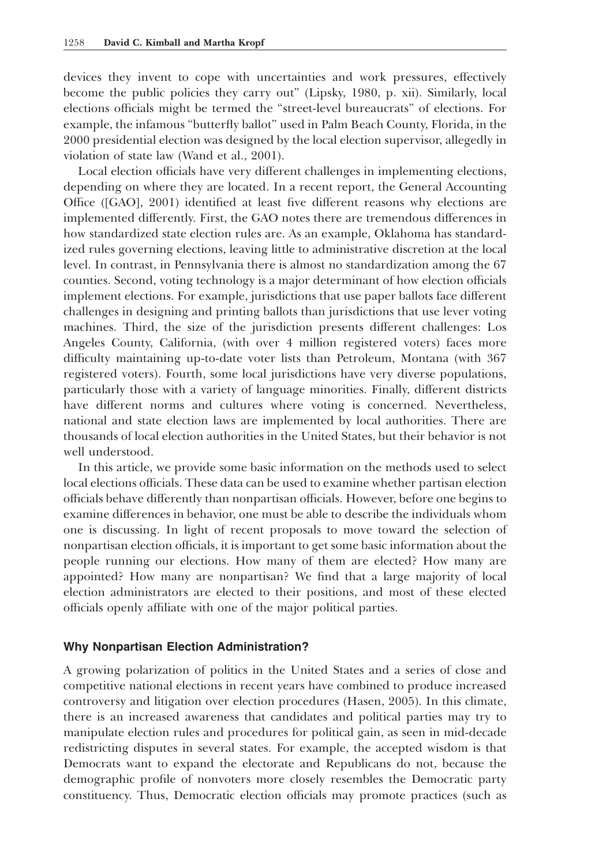devices they invent to cope with uncertainties and work pressures, effectively become the public policies they carry out" (Lipsky, 1980, p. xii). Similarly, local elections officials might be termed the "street-level bureaucrats" of elections. For example, the infamous "butterfly ballot" used in Palm Beach County, Florida, in the 2000 presidential election was designed by the local election supervisor, allegedly in violation of state law (Wand et al., 2001).

Local election officials have very different challenges in implementing elections, depending on where they are located. In a recent report, the General Accounting Office ([GAO], 2001) identified at least five different reasons why elections are implemented differently. First, the GAO notes there are tremendous differences in how standardized state election rules are. As an example, Oklahoma has standardized rules governing elections, leaving little to administrative discretion at the local level. In contrast, in Pennsylvania there is almost no standardization among the 67 counties. Second, voting technology is a major determinant of how election officials implement elections. For example, jurisdictions that use paper ballots face different challenges in designing and printing ballots than jurisdictions that use lever voting machines. Third, the size of the jurisdiction presents different challenges: Los Angeles County, California, (with over 4 million registered voters) faces more difficulty maintaining up-to-date voter lists than Petroleum, Montana (with 367 registered voters). Fourth, some local jurisdictions have very diverse populations, particularly those with a variety of language minorities. Finally, different districts have different norms and cultures where voting is concerned. Nevertheless, national and state election laws are implemented by local authorities. There are thousands of local election authorities in the United States, but their behavior is not well understood.

In this article, we provide some basic information on the methods used to select local elections officials. These data can be used to examine whether partisan election officials behave differently than nonpartisan officials. However, before one begins to examine differences in behavior, one must be able to describe the individuals whom one is discussing. In light of recent proposals to move toward the selection of nonpartisan election officials, it is important to get some basic information about the people running our elections. How many of them are elected? How many are appointed? How many are nonpartisan? We find that a large majority of local election administrators are elected to their positions, and most of these elected officials openly affiliate with one of the major political parties.

## **Why Nonpartisan Election Administration?**

A growing polarization of politics in the United States and a series of close and competitive national elections in recent years have combined to produce increased controversy and litigation over election procedures (Hasen, 2005). In this climate, there is an increased awareness that candidates and political parties may try to manipulate election rules and procedures for political gain, as seen in mid-decade redistricting disputes in several states. For example, the accepted wisdom is that Democrats want to expand the electorate and Republicans do not, because the demographic profile of nonvoters more closely resembles the Democratic party constituency. Thus, Democratic election officials may promote practices (such as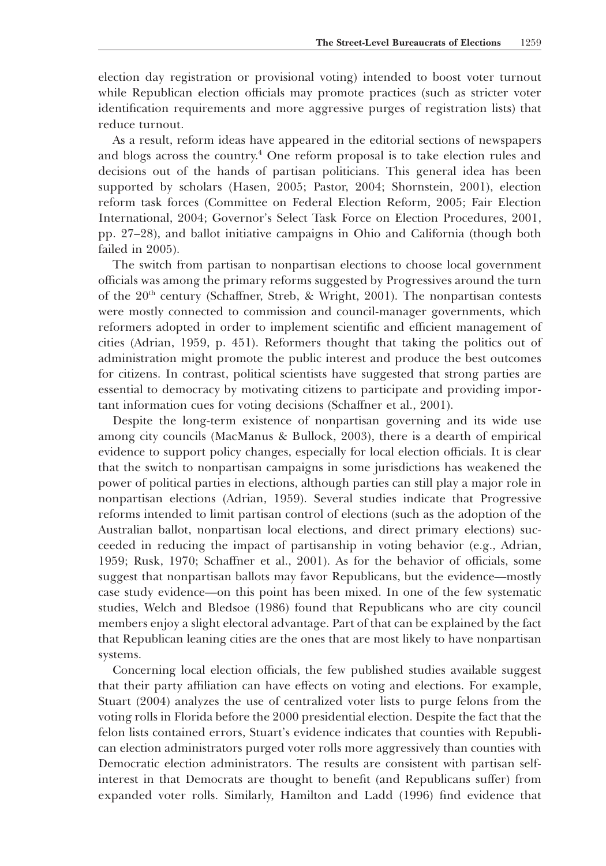election day registration or provisional voting) intended to boost voter turnout while Republican election officials may promote practices (such as stricter voter identification requirements and more aggressive purges of registration lists) that reduce turnout.

As a result, reform ideas have appeared in the editorial sections of newspapers and blogs across the country.<sup>4</sup> One reform proposal is to take election rules and decisions out of the hands of partisan politicians. This general idea has been supported by scholars (Hasen, 2005; Pastor, 2004; Shornstein, 2001), election reform task forces (Committee on Federal Election Reform, 2005; Fair Election International, 2004; Governor's Select Task Force on Election Procedures, 2001, pp. 27–28), and ballot initiative campaigns in Ohio and California (though both failed in 2005).

The switch from partisan to nonpartisan elections to choose local government officials was among the primary reforms suggested by Progressives around the turn of the  $20<sup>th</sup>$  century (Schaffner, Streb, & Wright, 2001). The nonpartisan contests were mostly connected to commission and council-manager governments, which reformers adopted in order to implement scientific and efficient management of cities (Adrian, 1959, p. 451). Reformers thought that taking the politics out of administration might promote the public interest and produce the best outcomes for citizens. In contrast, political scientists have suggested that strong parties are essential to democracy by motivating citizens to participate and providing important information cues for voting decisions (Schaffner et al., 2001).

Despite the long-term existence of nonpartisan governing and its wide use among city councils (MacManus & Bullock, 2003), there is a dearth of empirical evidence to support policy changes, especially for local election officials. It is clear that the switch to nonpartisan campaigns in some jurisdictions has weakened the power of political parties in elections, although parties can still play a major role in nonpartisan elections (Adrian, 1959). Several studies indicate that Progressive reforms intended to limit partisan control of elections (such as the adoption of the Australian ballot, nonpartisan local elections, and direct primary elections) succeeded in reducing the impact of partisanship in voting behavior (e.g., Adrian, 1959; Rusk, 1970; Schaffner et al., 2001). As for the behavior of officials, some suggest that nonpartisan ballots may favor Republicans, but the evidence—mostly case study evidence—on this point has been mixed. In one of the few systematic studies, Welch and Bledsoe (1986) found that Republicans who are city council members enjoy a slight electoral advantage. Part of that can be explained by the fact that Republican leaning cities are the ones that are most likely to have nonpartisan systems.

Concerning local election officials, the few published studies available suggest that their party affiliation can have effects on voting and elections. For example, Stuart (2004) analyzes the use of centralized voter lists to purge felons from the voting rolls in Florida before the 2000 presidential election. Despite the fact that the felon lists contained errors, Stuart's evidence indicates that counties with Republican election administrators purged voter rolls more aggressively than counties with Democratic election administrators. The results are consistent with partisan selfinterest in that Democrats are thought to benefit (and Republicans suffer) from expanded voter rolls. Similarly, Hamilton and Ladd (1996) find evidence that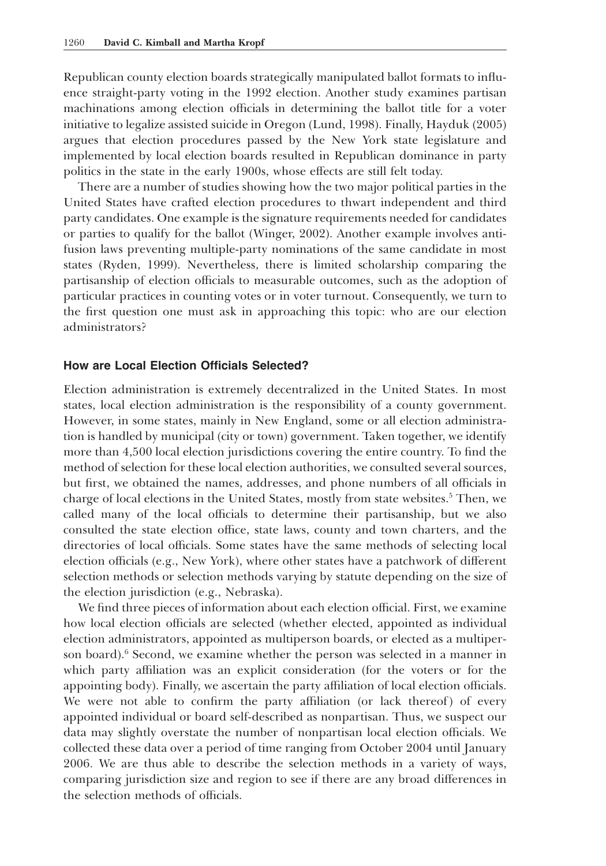Republican county election boards strategically manipulated ballot formats to influence straight-party voting in the 1992 election. Another study examines partisan machinations among election officials in determining the ballot title for a voter initiative to legalize assisted suicide in Oregon (Lund, 1998). Finally, Hayduk (2005) argues that election procedures passed by the New York state legislature and implemented by local election boards resulted in Republican dominance in party politics in the state in the early 1900s, whose effects are still felt today.

There are a number of studies showing how the two major political parties in the United States have crafted election procedures to thwart independent and third party candidates. One example is the signature requirements needed for candidates or parties to qualify for the ballot (Winger, 2002). Another example involves antifusion laws preventing multiple-party nominations of the same candidate in most states (Ryden, 1999). Nevertheless, there is limited scholarship comparing the partisanship of election officials to measurable outcomes, such as the adoption of particular practices in counting votes or in voter turnout. Consequently, we turn to the first question one must ask in approaching this topic: who are our election administrators?

## **How are Local Election Officials Selected?**

Election administration is extremely decentralized in the United States. In most states, local election administration is the responsibility of a county government. However, in some states, mainly in New England, some or all election administration is handled by municipal (city or town) government. Taken together, we identify more than 4,500 local election jurisdictions covering the entire country. To find the method of selection for these local election authorities, we consulted several sources, but first, we obtained the names, addresses, and phone numbers of all officials in charge of local elections in the United States, mostly from state websites.<sup>5</sup> Then, we called many of the local officials to determine their partisanship, but we also consulted the state election office, state laws, county and town charters, and the directories of local officials. Some states have the same methods of selecting local election officials (e.g., New York), where other states have a patchwork of different selection methods or selection methods varying by statute depending on the size of the election jurisdiction (e.g., Nebraska).

We find three pieces of information about each election official. First, we examine how local election officials are selected (whether elected, appointed as individual election administrators, appointed as multiperson boards, or elected as a multiperson board).<sup>6</sup> Second, we examine whether the person was selected in a manner in which party affiliation was an explicit consideration (for the voters or for the appointing body). Finally, we ascertain the party affiliation of local election officials. We were not able to confirm the party affiliation (or lack thereof) of every appointed individual or board self-described as nonpartisan. Thus, we suspect our data may slightly overstate the number of nonpartisan local election officials. We collected these data over a period of time ranging from October 2004 until January 2006. We are thus able to describe the selection methods in a variety of ways, comparing jurisdiction size and region to see if there are any broad differences in the selection methods of officials.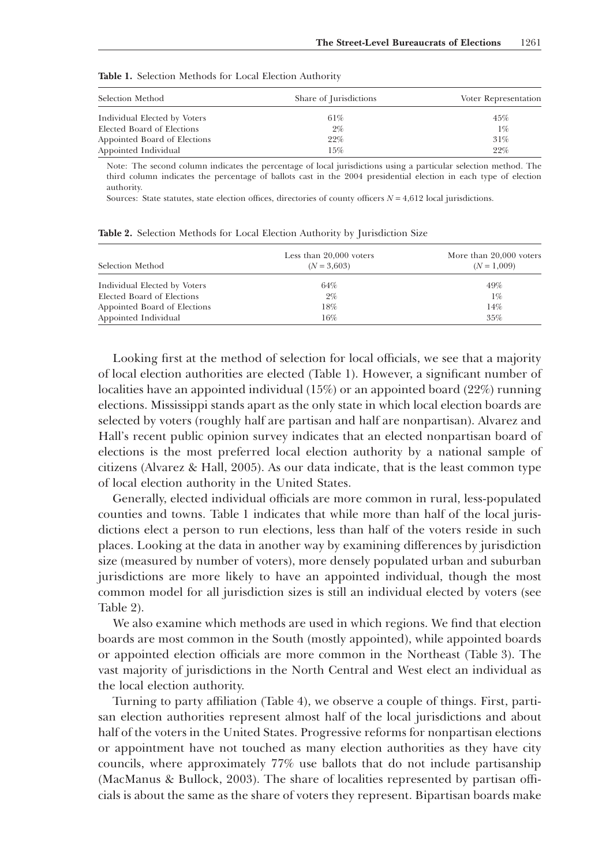| Selection Method             | Share of Jurisdictions | Voter Representation |
|------------------------------|------------------------|----------------------|
| Individual Elected by Voters | 61%                    | 45%                  |
| Elected Board of Elections   | $2\%$                  | $1\%$                |
| Appointed Board of Elections | 22%                    | 31%                  |
| Appointed Individual         | 15%                    | 22%                  |

**Table 1.** Selection Methods for Local Election Authority

Note: The second column indicates the percentage of local jurisdictions using a particular selection method. The third column indicates the percentage of ballots cast in the 2004 presidential election in each type of election authority.

Sources: State statutes, state election offices, directories of county officers *N* = 4,612 local jurisdictions.

| Selection Method             | Less than 20,000 voters<br>$(N = 3.603)$ | More than 20,000 voters<br>$(N = 1,009)$ |
|------------------------------|------------------------------------------|------------------------------------------|
| Individual Elected by Voters | 64%                                      | 49%                                      |
| Elected Board of Elections   | $2\%$                                    | $1\%$                                    |
| Appointed Board of Elections | 18%                                      | 14%                                      |
| Appointed Individual         | 16%                                      | 35%                                      |

**Table 2.** Selection Methods for Local Election Authority by Jurisdiction Size

Looking first at the method of selection for local officials, we see that a majority of local election authorities are elected (Table 1). However, a significant number of localities have an appointed individual (15%) or an appointed board (22%) running elections. Mississippi stands apart as the only state in which local election boards are selected by voters (roughly half are partisan and half are nonpartisan). Alvarez and Hall's recent public opinion survey indicates that an elected nonpartisan board of elections is the most preferred local election authority by a national sample of citizens (Alvarez & Hall, 2005). As our data indicate, that is the least common type of local election authority in the United States.

Generally, elected individual officials are more common in rural, less-populated counties and towns. Table 1 indicates that while more than half of the local jurisdictions elect a person to run elections, less than half of the voters reside in such places. Looking at the data in another way by examining differences by jurisdiction size (measured by number of voters), more densely populated urban and suburban jurisdictions are more likely to have an appointed individual, though the most common model for all jurisdiction sizes is still an individual elected by voters (see Table 2).

We also examine which methods are used in which regions. We find that election boards are most common in the South (mostly appointed), while appointed boards or appointed election officials are more common in the Northeast (Table 3). The vast majority of jurisdictions in the North Central and West elect an individual as the local election authority.

Turning to party affiliation (Table 4), we observe a couple of things. First, partisan election authorities represent almost half of the local jurisdictions and about half of the voters in the United States. Progressive reforms for nonpartisan elections or appointment have not touched as many election authorities as they have city councils, where approximately 77% use ballots that do not include partisanship (MacManus & Bullock, 2003). The share of localities represented by partisan officials is about the same as the share of voters they represent. Bipartisan boards make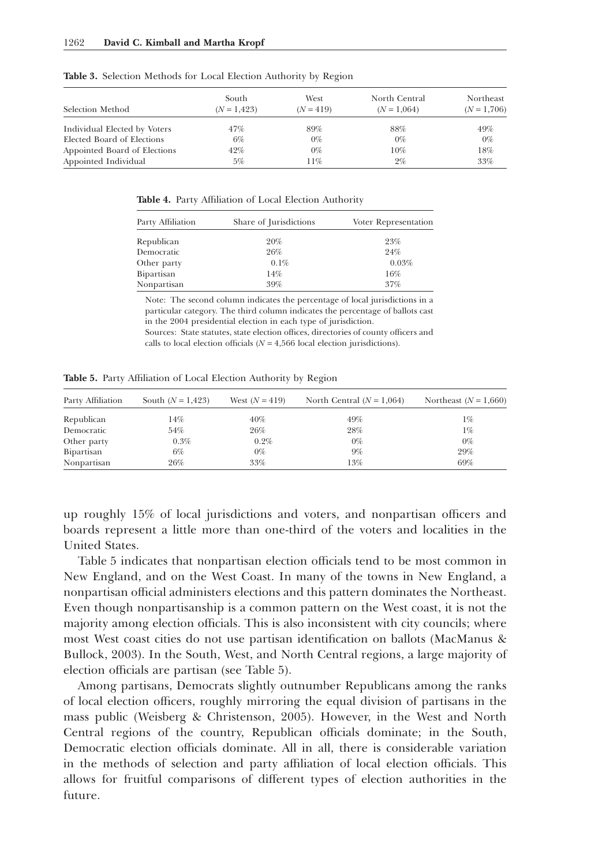| Selection Method             | South<br>$(N = 1,423)$ | West<br>$(N = 419)$ | North Central<br>$(N = 1.064)$ | Northeast<br>$(N = 1,706)$ |
|------------------------------|------------------------|---------------------|--------------------------------|----------------------------|
| Individual Elected by Voters | 47%                    | 89%                 | 88%                            | 49%                        |
| Elected Board of Elections   | $6\%$                  | $0\%$               | $0\%$                          | $0\%$                      |
| Appointed Board of Elections | 42%                    | $0\%$               | 10%                            | 18%                        |
| Appointed Individual         | $5\%$                  | $11\%$              | $2\%$                          | 33%                        |

**Table 3.** Selection Methods for Local Election Authority by Region

**Table 4.** Party Affiliation of Local Election Authority

| Party Affiliation | Share of Jurisdictions | Voter Representation |  |
|-------------------|------------------------|----------------------|--|
| Republican        | 20%                    | 23%                  |  |
| Democratic        | 26%                    | 24%                  |  |
| Other party       | 0.1%                   | 0.03%                |  |
| Bipartisan        | 14%                    | 16%                  |  |
| Nonpartisan       | 39%                    | 37%                  |  |

Note: The second column indicates the percentage of local jurisdictions in a particular category. The third column indicates the percentage of ballots cast in the 2004 presidential election in each type of jurisdiction.

Sources: State statutes, state election offices, directories of county officers and calls to local election officials  $(N = 4,566$  local election jurisdictions).

**Table 5.** Party Affiliation of Local Election Authority by Region

| Party Affiliation | South $(N = 1,423)$ | West $(N = 419)$ | North Central $(N = 1.064)$ | Northeast $(N = 1,660)$ |
|-------------------|---------------------|------------------|-----------------------------|-------------------------|
| Republican        | 14%                 | 40%              | 49%                         | $1\%$                   |
| Democratic        | 54%                 | 26%              | 28%                         | $1\%$                   |
| Other party       | 0.3%                | $0.2\%$          | $0\%$                       | $0\%$                   |
| Bipartisan        | $6\%$               | $0\%$            | $9\%$                       | 29%                     |
| Nonpartisan       | 26%                 | 33%              | 13%                         | 69%                     |

up roughly 15% of local jurisdictions and voters, and nonpartisan officers and boards represent a little more than one-third of the voters and localities in the United States.

Table 5 indicates that nonpartisan election officials tend to be most common in New England, and on the West Coast. In many of the towns in New England, a nonpartisan official administers elections and this pattern dominates the Northeast. Even though nonpartisanship is a common pattern on the West coast, it is not the majority among election officials. This is also inconsistent with city councils; where most West coast cities do not use partisan identification on ballots (MacManus & Bullock, 2003). In the South, West, and North Central regions, a large majority of election officials are partisan (see Table 5).

Among partisans, Democrats slightly outnumber Republicans among the ranks of local election officers, roughly mirroring the equal division of partisans in the mass public (Weisberg & Christenson, 2005). However, in the West and North Central regions of the country, Republican officials dominate; in the South, Democratic election officials dominate. All in all, there is considerable variation in the methods of selection and party affiliation of local election officials. This allows for fruitful comparisons of different types of election authorities in the future.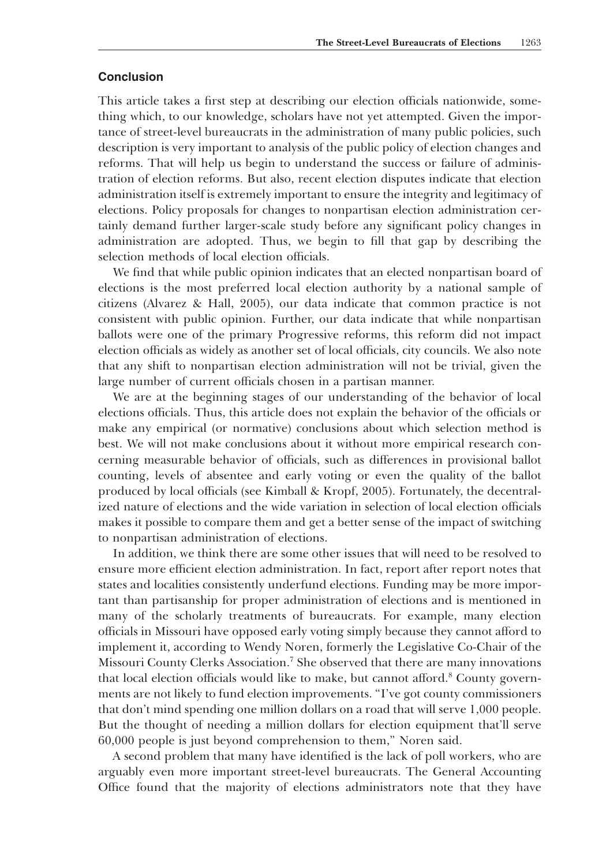## **Conclusion**

This article takes a first step at describing our election officials nationwide, something which, to our knowledge, scholars have not yet attempted. Given the importance of street-level bureaucrats in the administration of many public policies, such description is very important to analysis of the public policy of election changes and reforms. That will help us begin to understand the success or failure of administration of election reforms. But also, recent election disputes indicate that election administration itself is extremely important to ensure the integrity and legitimacy of elections. Policy proposals for changes to nonpartisan election administration certainly demand further larger-scale study before any significant policy changes in administration are adopted. Thus, we begin to fill that gap by describing the selection methods of local election officials.

We find that while public opinion indicates that an elected nonpartisan board of elections is the most preferred local election authority by a national sample of citizens (Alvarez & Hall, 2005), our data indicate that common practice is not consistent with public opinion. Further, our data indicate that while nonpartisan ballots were one of the primary Progressive reforms, this reform did not impact election officials as widely as another set of local officials, city councils. We also note that any shift to nonpartisan election administration will not be trivial, given the large number of current officials chosen in a partisan manner.

We are at the beginning stages of our understanding of the behavior of local elections officials. Thus, this article does not explain the behavior of the officials or make any empirical (or normative) conclusions about which selection method is best. We will not make conclusions about it without more empirical research concerning measurable behavior of officials, such as differences in provisional ballot counting, levels of absentee and early voting or even the quality of the ballot produced by local officials (see Kimball & Kropf, 2005). Fortunately, the decentralized nature of elections and the wide variation in selection of local election officials makes it possible to compare them and get a better sense of the impact of switching to nonpartisan administration of elections.

In addition, we think there are some other issues that will need to be resolved to ensure more efficient election administration. In fact, report after report notes that states and localities consistently underfund elections. Funding may be more important than partisanship for proper administration of elections and is mentioned in many of the scholarly treatments of bureaucrats. For example, many election officials in Missouri have opposed early voting simply because they cannot afford to implement it, according to Wendy Noren, formerly the Legislative Co-Chair of the Missouri County Clerks Association.<sup>7</sup> She observed that there are many innovations that local election officials would like to make, but cannot afford.<sup>8</sup> County governments are not likely to fund election improvements. "I've got county commissioners that don't mind spending one million dollars on a road that will serve 1,000 people. But the thought of needing a million dollars for election equipment that'll serve 60,000 people is just beyond comprehension to them," Noren said.

A second problem that many have identified is the lack of poll workers, who are arguably even more important street-level bureaucrats. The General Accounting Office found that the majority of elections administrators note that they have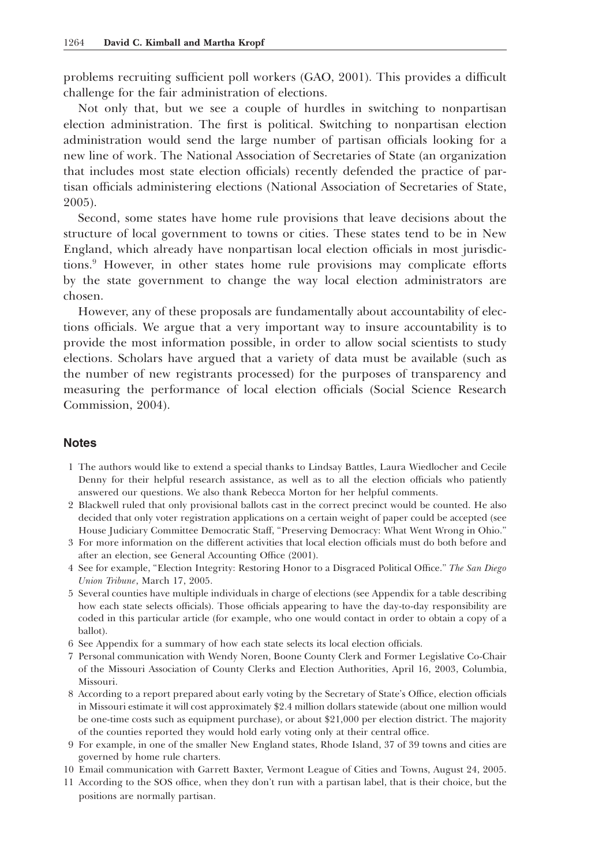problems recruiting sufficient poll workers (GAO, 2001). This provides a difficult challenge for the fair administration of elections.

Not only that, but we see a couple of hurdles in switching to nonpartisan election administration. The first is political. Switching to nonpartisan election administration would send the large number of partisan officials looking for a new line of work. The National Association of Secretaries of State (an organization that includes most state election officials) recently defended the practice of partisan officials administering elections (National Association of Secretaries of State, 2005).

Second, some states have home rule provisions that leave decisions about the structure of local government to towns or cities. These states tend to be in New England, which already have nonpartisan local election officials in most jurisdictions.9 However, in other states home rule provisions may complicate efforts by the state government to change the way local election administrators are chosen.

However, any of these proposals are fundamentally about accountability of elections officials. We argue that a very important way to insure accountability is to provide the most information possible, in order to allow social scientists to study elections. Scholars have argued that a variety of data must be available (such as the number of new registrants processed) for the purposes of transparency and measuring the performance of local election officials (Social Science Research Commission, 2004).

#### **Notes**

- 1 The authors would like to extend a special thanks to Lindsay Battles, Laura Wiedlocher and Cecile Denny for their helpful research assistance, as well as to all the election officials who patiently answered our questions. We also thank Rebecca Morton for her helpful comments.
- 2 Blackwell ruled that only provisional ballots cast in the correct precinct would be counted. He also decided that only voter registration applications on a certain weight of paper could be accepted (see House Judiciary Committee Democratic Staff, "Preserving Democracy: What Went Wrong in Ohio."
- 3 For more information on the different activities that local election officials must do both before and after an election, see General Accounting Office (2001).
- 4 See for example, "Election Integrity: Restoring Honor to a Disgraced Political Office." *The San Diego Union Tribune*, March 17, 2005.
- 5 Several counties have multiple individuals in charge of elections (see Appendix for a table describing how each state selects officials). Those officials appearing to have the day-to-day responsibility are coded in this particular article (for example, who one would contact in order to obtain a copy of a ballot).
- 6 See Appendix for a summary of how each state selects its local election officials.
- 7 Personal communication with Wendy Noren, Boone County Clerk and Former Legislative Co-Chair of the Missouri Association of County Clerks and Election Authorities, April 16, 2003, Columbia, Missouri.
- 8 According to a report prepared about early voting by the Secretary of State's Office, election officials in Missouri estimate it will cost approximately \$2.4 million dollars statewide (about one million would be one-time costs such as equipment purchase), or about \$21,000 per election district. The majority of the counties reported they would hold early voting only at their central office.
- 9 For example, in one of the smaller New England states, Rhode Island, 37 of 39 towns and cities are governed by home rule charters.
- 10 Email communication with Garrett Baxter, Vermont League of Cities and Towns, August 24, 2005.
- 11 According to the SOS office, when they don't run with a partisan label, that is their choice, but the positions are normally partisan.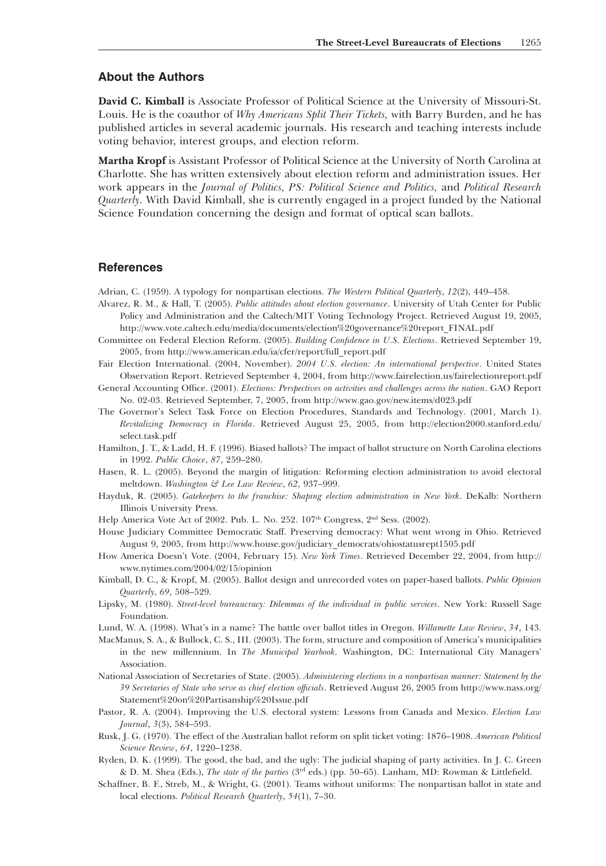#### **About the Authors**

**David C. Kimball** is Associate Professor of Political Science at the University of Missouri-St. Louis. He is the coauthor of *Why Americans Split Their Tickets,* with Barry Burden, and he has published articles in several academic journals. His research and teaching interests include voting behavior, interest groups, and election reform.

**Martha Kropf** is Assistant Professor of Political Science at the University of North Carolina at Charlotte. She has written extensively about election reform and administration issues. Her work appears in the *Journal of Politics, PS: Political Science and Politics,* and *Political Research Quarterly*. With David Kimball, she is currently engaged in a project funded by the National Science Foundation concerning the design and format of optical scan ballots.

## **References**

Adrian, C. (1959). A typology for nonpartisan elections. *The Western Political Quarterly*, *12*(2), 449–458.

- Alvarez, R. M., & Hall, T. (2005). *Public attitudes about election governance*. University of Utah Center for Public Policy and Administration and the Caltech/MIT Voting Technology Project. Retrieved August 19, 2005, [http://www.vote.caltech.edu/media/documents/election%20governance%20report\\_FINAL.pdf](http://www.vote.caltech.edu/media/documents/election%20governance%20report_FINAL.pdf)
- Committee on Federal Election Reform. (2005). *Building Confidence in U.S. Elections*. Retrieved September 19, 2005, from [http://www.american.edu/ia/cfer/report/full\\_report.pdf](http://www.american.edu/ia/cfer/report/full_report.pdf)
- Fair Election International. (2004, November). *2004 U.S. election: An international perspective*. United States Observation Report. Retrieved September 4, 2004, from<http://www.fairelection.us/fairelectionreport.pdf>
- General Accounting Office. (2001). *Elections: Perspectives on activities and challenges across the nation*. GAO Report No. 02-03. Retrieved September, 7, 2005, from<http://www.gao.gov/new.items/d023.pdf>
- The Governor's Select Task Force on Election Procedures, Standards and Technology. (2001, March 1). *Revitalizing Democracy in Florida*. Retrieved August 25, 2005, from [http://election2000.stanford.edu/](http://election2000.stanford.edu) select.task.pdf
- Hamilton, J. T., & Ladd, H. F. (1996). Biased ballots? The impact of ballot structure on North Carolina elections in 1992. *Public Choice*, *87*, 259–280.
- Hasen, R. L. (2005). Beyond the margin of litigation: Reforming election administration to avoid electoral meltdown. *Washington & Lee Law Review*, *62*, 937–999.
- Hayduk, R. (2005). *Gatekeepers to the franchise: Shaping election administration in New York*. DeKalb: Northern Illinois University Press.
- Help America Vote Act of 2002. Pub. L. No. 252. 107<sup>th</sup> Congress, 2<sup>nd</sup> Sess. (2002).
- House Judiciary Committee Democratic Staff. Preserving democracy: What went wrong in Ohio. Retrieved August 9, 2005, from [http://www.house.gov/judiciary\\_democrats/ohiostatusrept1505.pdf](http://www.house.gov/judiciary_democrats/ohiostatusrept1505.pdf)
- How America Doesn't Vote. (2004, February 15). *New York Times*. Retrieved December 22, 2004, from [http://](http://www.nytimes.com/2004/02/15/opinion) [www.nytimes.com/2004/02/15/opinion](http://www.nytimes.com/2004/02/15/opinion)
- Kimball, D. C., & Kropf, M. (2005). Ballot design and unrecorded votes on paper-based ballots. *Public Opinion Quarterly*, *69*, 508–529.
- Lipsky, M. (1980). *Street-level bureaucracy: Dilemmas of the individual in public services*. New York: Russell Sage Foundation.
- Lund, W. A. (1998). What's in a name? The battle over ballot titles in Oregon. *Willamette Law Review*, *34*, 143.
- MacManus, S. A., & Bullock, C. S., III. (2003). The form, structure and composition of America's municipalities in the new millennium. In *The Municipal Yearbook*. Washington, DC: International City Managers' Association.
- National Association of Secretaries of State. (2005). *Administering elections in a nonpartisan manner: Statement by the 39 Secretaries of State who serve as chief election officials*. Retrieved August 26, 2005 from [http://www.nass.org/](http://www.nass.org) Statement%20on%20Partisanship%20Issue.pdf
- Pastor, R. A. (2004). Improving the U.S. electoral system: Lessons from Canada and Mexico. *Election Law Journal*, *3*(3), 584–593.
- Rusk, J. G. (1970). The effect of the Australian ballot reform on split ticket voting: 1876–1908. *American Political Science Review*, *64*, 1220–1238.
- Ryden, D. K. (1999). The good, the bad, and the ugly: The judicial shaping of party activities. In J. C. Green & D. M. Shea (Eds.), *The state of the parties* (3rd eds.) (pp. 50–65). Lanham, MD: Rowman & Littlefield.
- Schaffner, B. F., Streb, M., & Wright, G. (2001). Teams without uniforms: The nonpartisan ballot in state and local elections. *Political Research Quarterly*, *54*(1), 7–30.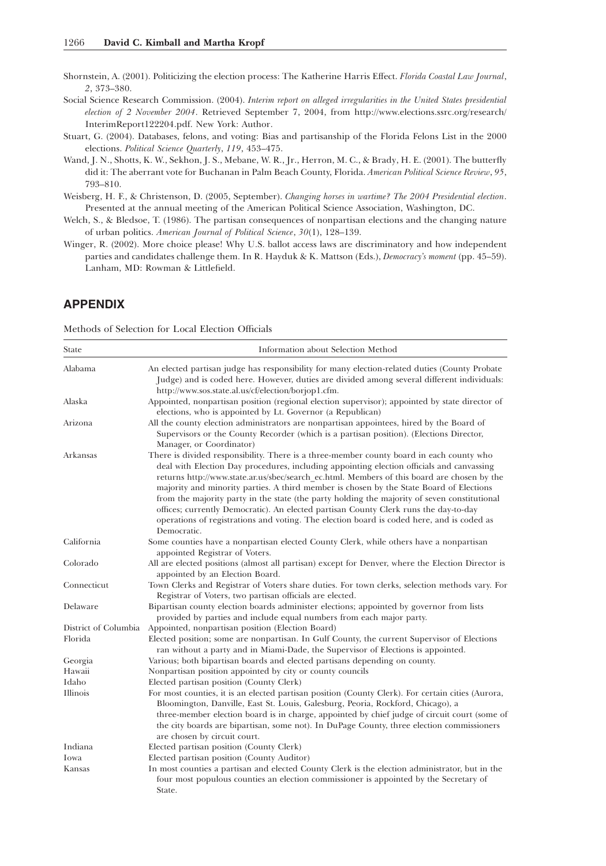Shornstein, A. (2001). Politicizing the election process: The Katherine Harris Effect. *Florida Coastal Law Journal*, *2*, 373–380.

- Social Science Research Commission. (2004). *Interim report on alleged irregularities in the United States presidential election of 2 November 2004*. Retrieved September 7, 2004, from [http://www.elections.ssrc.org/research/](http://www.elections.ssrc.org/research) InterimReport122204.pdf. New York: Author.
- Stuart, G. (2004). Databases, felons, and voting: Bias and partisanship of the Florida Felons List in the 2000 elections. *Political Science Quarterly*, *119*, 453–475.
- Wand, J. N., Shotts, K. W., Sekhon, J. S., Mebane, W. R., Jr., Herron, M. C., & Brady, H. E. (2001). The butterfly did it: The aberrant vote for Buchanan in Palm Beach County, Florida. *American Political Science Review*, *95*, 793–810.
- Weisberg, H. F., & Christenson, D. (2005, September). *Changing horses in wartime? The 2004 Presidential election*. Presented at the annual meeting of the American Political Science Association, Washington, DC.
- Welch, S., & Bledsoe, T. (1986). The partisan consequences of nonpartisan elections and the changing nature of urban politics. *American Journal of Political Science*, *30*(1), 128–139.
- Winger, R. (2002). More choice please! Why U.S. ballot access laws are discriminatory and how independent parties and candidates challenge them. In R. Hayduk & K. Mattson (Eds.), *Democracy's moment* (pp. 45–59). Lanham, MD: Rowman & Littlefield.

# **APPENDIX**

Methods of Selection for Local Election Officials

| State                | Information about Selection Method                                                                                                                                                                                                                                                                                                                                                                                                                                                                                                                                                                                                                                                  |
|----------------------|-------------------------------------------------------------------------------------------------------------------------------------------------------------------------------------------------------------------------------------------------------------------------------------------------------------------------------------------------------------------------------------------------------------------------------------------------------------------------------------------------------------------------------------------------------------------------------------------------------------------------------------------------------------------------------------|
| Alabama              | An elected partisan judge has responsibility for many election-related duties (County Probate<br>Judge) and is coded here. However, duties are divided among several different individuals:<br>http://www.sos.state.al.us/cf/election/borjop1.cfm.                                                                                                                                                                                                                                                                                                                                                                                                                                  |
| Alaska               | Appointed, nonpartisan position (regional election supervisor); appointed by state director of<br>elections, who is appointed by Lt. Governor (a Republican)                                                                                                                                                                                                                                                                                                                                                                                                                                                                                                                        |
| Arizona              | All the county election administrators are nonpartisan appointees, hired by the Board of<br>Supervisors or the County Recorder (which is a partisan position). (Elections Director,<br>Manager, or Coordinator)                                                                                                                                                                                                                                                                                                                                                                                                                                                                     |
| Arkansas             | There is divided responsibility. There is a three-member county board in each county who<br>deal with Election Day procedures, including appointing election officials and canvassing<br>returns http://www.state.ar.us/sbec/search ec.html. Members of this board are chosen by the<br>majority and minority parties. A third member is chosen by the State Board of Elections<br>from the majority party in the state (the party holding the majority of seven constitutional<br>offices; currently Democratic). An elected partisan County Clerk runs the day-to-day<br>operations of registrations and voting. The election board is coded here, and is coded as<br>Democratic. |
| California           | Some counties have a nonpartisan elected County Clerk, while others have a nonpartisan<br>appointed Registrar of Voters.                                                                                                                                                                                                                                                                                                                                                                                                                                                                                                                                                            |
| Colorado             | All are elected positions (almost all partisan) except for Denver, where the Election Director is<br>appointed by an Election Board.                                                                                                                                                                                                                                                                                                                                                                                                                                                                                                                                                |
| Connecticut          | Town Clerks and Registrar of Voters share duties. For town clerks, selection methods vary. For<br>Registrar of Voters, two partisan officials are elected.                                                                                                                                                                                                                                                                                                                                                                                                                                                                                                                          |
| Delaware             | Bipartisan county election boards administer elections; appointed by governor from lists<br>provided by parties and include equal numbers from each major party.                                                                                                                                                                                                                                                                                                                                                                                                                                                                                                                    |
| District of Columbia | Appointed, nonpartisan position (Election Board)                                                                                                                                                                                                                                                                                                                                                                                                                                                                                                                                                                                                                                    |
| Florida              | Elected position; some are nonpartisan. In Gulf County, the current Supervisor of Elections<br>ran without a party and in Miami-Dade, the Supervisor of Elections is appointed.                                                                                                                                                                                                                                                                                                                                                                                                                                                                                                     |
| Georgia              | Various; both bipartisan boards and elected partisans depending on county.                                                                                                                                                                                                                                                                                                                                                                                                                                                                                                                                                                                                          |
| Hawaii               | Nonpartisan position appointed by city or county councils                                                                                                                                                                                                                                                                                                                                                                                                                                                                                                                                                                                                                           |
| Idaho                | Elected partisan position (County Clerk)                                                                                                                                                                                                                                                                                                                                                                                                                                                                                                                                                                                                                                            |
| Illinois             | For most counties, it is an elected partisan position (County Clerk). For certain cities (Aurora,<br>Bloomington, Danville, East St. Louis, Galesburg, Peoria, Rockford, Chicago), a<br>three-member election board is in charge, appointed by chief judge of circuit court (some of<br>the city boards are bipartisan, some not). In DuPage County, three election commissioners<br>are chosen by circuit court.                                                                                                                                                                                                                                                                   |
| Indiana              | Elected partisan position (County Clerk)                                                                                                                                                                                                                                                                                                                                                                                                                                                                                                                                                                                                                                            |
| Iowa                 | Elected partisan position (County Auditor)                                                                                                                                                                                                                                                                                                                                                                                                                                                                                                                                                                                                                                          |
| Kansas               | In most counties a partisan and elected County Clerk is the election administrator, but in the<br>four most populous counties an election commissioner is appointed by the Secretary of<br>State.                                                                                                                                                                                                                                                                                                                                                                                                                                                                                   |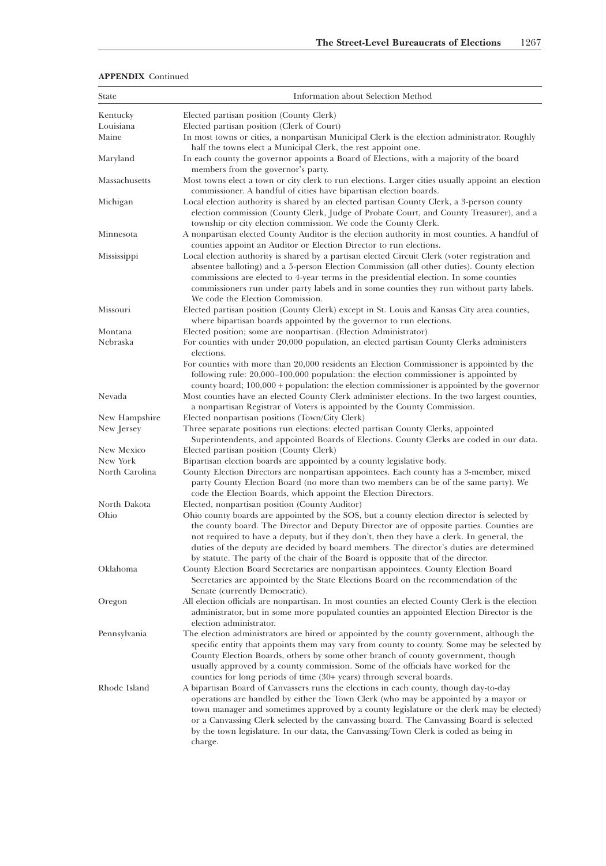| State          | Information about Selection Method                                                                                                                                                                                                                                                                                                                                                                                                                                      |
|----------------|-------------------------------------------------------------------------------------------------------------------------------------------------------------------------------------------------------------------------------------------------------------------------------------------------------------------------------------------------------------------------------------------------------------------------------------------------------------------------|
| Kentucky       | Elected partisan position (County Clerk)                                                                                                                                                                                                                                                                                                                                                                                                                                |
| Louisiana      | Elected partisan position (Clerk of Court)                                                                                                                                                                                                                                                                                                                                                                                                                              |
| Maine          | In most towns or cities, a nonpartisan Municipal Clerk is the election administrator. Roughly<br>half the towns elect a Municipal Clerk, the rest appoint one.                                                                                                                                                                                                                                                                                                          |
| Maryland       | In each county the governor appoints a Board of Elections, with a majority of the board<br>members from the governor's party.                                                                                                                                                                                                                                                                                                                                           |
| Massachusetts  | Most towns elect a town or city clerk to run elections. Larger cities usually appoint an election<br>commissioner. A handful of cities have bipartisan election boards.                                                                                                                                                                                                                                                                                                 |
| Michigan       | Local election authority is shared by an elected partisan County Clerk, a 3-person county<br>election commission (County Clerk, Judge of Probate Court, and County Treasurer), and a<br>township or city election commission. We code the County Clerk.                                                                                                                                                                                                                 |
| Minnesota      | A nonpartisan elected County Auditor is the election authority in most counties. A handful of<br>counties appoint an Auditor or Election Director to run elections.                                                                                                                                                                                                                                                                                                     |
| Mississippi    | Local election authority is shared by a partisan elected Circuit Clerk (voter registration and<br>absentee balloting) and a 5-person Election Commission (all other duties). County election<br>commissions are elected to 4-year terms in the presidential election. In some counties<br>commissioners run under party labels and in some counties they run without party labels.<br>We code the Election Commission.                                                  |
| Missouri       | Elected partisan position (County Clerk) except in St. Louis and Kansas City area counties,<br>where bipartisan boards appointed by the governor to run elections.                                                                                                                                                                                                                                                                                                      |
| Montana        | Elected position; some are nonpartisan. (Election Administrator)                                                                                                                                                                                                                                                                                                                                                                                                        |
| Nebraska       | For counties with under 20,000 population, an elected partisan County Clerks administers<br>elections.                                                                                                                                                                                                                                                                                                                                                                  |
|                | For counties with more than 20,000 residents an Election Commissioner is appointed by the<br>following rule: 20,000–100,000 population: the election commissioner is appointed by<br>county board; 100,000 + population: the election commissioner is appointed by the governor                                                                                                                                                                                         |
| Nevada         | Most counties have an elected County Clerk administer elections. In the two largest counties,<br>a nonpartisan Registrar of Voters is appointed by the County Commission.                                                                                                                                                                                                                                                                                               |
| New Hampshire  | Elected nonpartisan positions (Town/City Clerk)                                                                                                                                                                                                                                                                                                                                                                                                                         |
| New Jersey     | Three separate positions run elections: elected partisan County Clerks, appointed<br>Superintendents, and appointed Boards of Elections. County Clerks are coded in our data.                                                                                                                                                                                                                                                                                           |
| New Mexico     | Elected partisan position (County Clerk)                                                                                                                                                                                                                                                                                                                                                                                                                                |
| New York       | Bipartisan election boards are appointed by a county legislative body.                                                                                                                                                                                                                                                                                                                                                                                                  |
| North Carolina | County Election Directors are nonpartisan appointees. Each county has a 3-member, mixed<br>party County Election Board (no more than two members can be of the same party). We<br>code the Election Boards, which appoint the Election Directors.                                                                                                                                                                                                                       |
| North Dakota   | Elected, nonpartisan position (County Auditor)                                                                                                                                                                                                                                                                                                                                                                                                                          |
| Ohio           | Ohio county boards are appointed by the SOS, but a county election director is selected by<br>the county board. The Director and Deputy Director are of opposite parties. Counties are<br>not required to have a deputy, but if they don't, then they have a clerk. In general, the<br>duties of the deputy are decided by board members. The director's duties are determined<br>by statute. The party of the chair of the Board is opposite that of the director.     |
| Oklahoma       | County Election Board Secretaries are nonpartisan appointees. County Election Board<br>Secretaries are appointed by the State Elections Board on the recommendation of the<br>Senate (currently Democratic).                                                                                                                                                                                                                                                            |
| Oregon         | All election officials are nonpartisan. In most counties an elected County Clerk is the election<br>administrator, but in some more populated counties an appointed Election Director is the<br>election administrator.                                                                                                                                                                                                                                                 |
| Pennsylvania   | The election administrators are hired or appointed by the county government, although the<br>specific entity that appoints them may vary from county to county. Some may be selected by<br>County Election Boards, others by some other branch of county government, though<br>usually approved by a county commission. Some of the officials have worked for the<br>counties for long periods of time (30+ years) through several boards.                              |
| Rhode Island   | A bipartisan Board of Canvassers runs the elections in each county, though day-to-day<br>operations are handled by either the Town Clerk (who may be appointed by a mayor or<br>town manager and sometimes approved by a county legislature or the clerk may be elected)<br>or a Canvassing Clerk selected by the canvassing board. The Canvassing Board is selected<br>by the town legislature. In our data, the Canvassing/Town Clerk is coded as being in<br>charge. |

#### **APPENDIX** Continued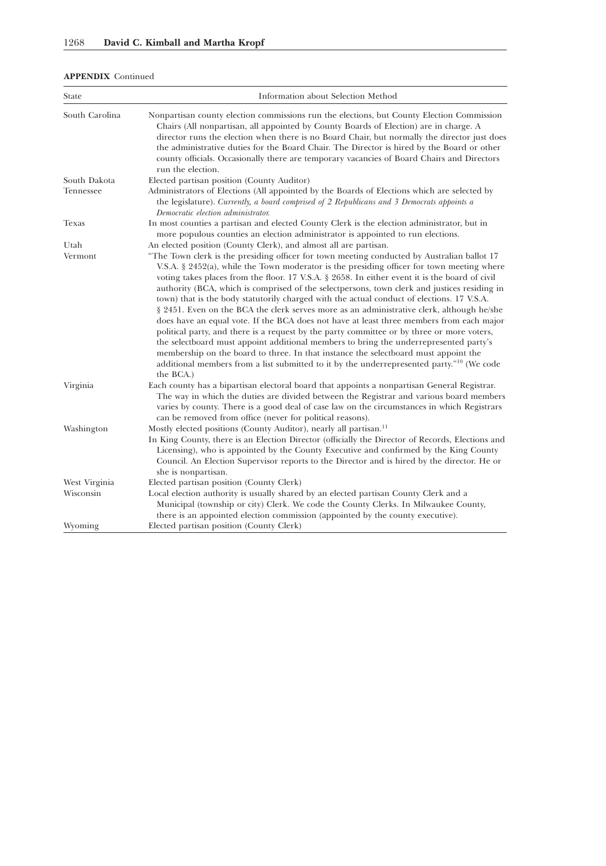## **APPENDIX** Continued

| <b>State</b>   | Information about Selection Method                                                                                                                                                                                                                                                                                                                                                                                                                                                                                                                                                                                                                                                                                                                                                                                                                                                                                                                                                                                                                                                     |
|----------------|----------------------------------------------------------------------------------------------------------------------------------------------------------------------------------------------------------------------------------------------------------------------------------------------------------------------------------------------------------------------------------------------------------------------------------------------------------------------------------------------------------------------------------------------------------------------------------------------------------------------------------------------------------------------------------------------------------------------------------------------------------------------------------------------------------------------------------------------------------------------------------------------------------------------------------------------------------------------------------------------------------------------------------------------------------------------------------------|
| South Carolina | Nonpartisan county election commissions run the elections, but County Election Commission<br>Chairs (All nonpartisan, all appointed by County Boards of Election) are in charge. A<br>director runs the election when there is no Board Chair, but normally the director just does<br>the administrative duties for the Board Chair. The Director is hired by the Board or other<br>county officials. Occasionally there are temporary vacancies of Board Chairs and Directors<br>run the election.                                                                                                                                                                                                                                                                                                                                                                                                                                                                                                                                                                                    |
| South Dakota   | Elected partisan position (County Auditor)                                                                                                                                                                                                                                                                                                                                                                                                                                                                                                                                                                                                                                                                                                                                                                                                                                                                                                                                                                                                                                             |
| Tennessee      | Administrators of Elections (All appointed by the Boards of Elections which are selected by<br>the legislature). Currently, a board comprised of $2$ Republicans and $3$ Democrats appoints a<br>Democratic election administrator.                                                                                                                                                                                                                                                                                                                                                                                                                                                                                                                                                                                                                                                                                                                                                                                                                                                    |
| Texas          | In most counties a partisan and elected County Clerk is the election administrator, but in<br>more populous counties an election administrator is appointed to run elections.                                                                                                                                                                                                                                                                                                                                                                                                                                                                                                                                                                                                                                                                                                                                                                                                                                                                                                          |
| Utah           | An elected position (County Clerk), and almost all are partisan.                                                                                                                                                                                                                                                                                                                                                                                                                                                                                                                                                                                                                                                                                                                                                                                                                                                                                                                                                                                                                       |
| Vermont        | "The Town clerk is the presiding officer for town meeting conducted by Australian ballot 17<br>V.S.A. § 2452(a), while the Town moderator is the presiding officer for town meeting where<br>voting takes places from the floor. 17 V.S.A. § 2658. In either event it is the board of civil<br>authority (BCA, which is comprised of the selectpersons, town clerk and justices residing in<br>town) that is the body statutorily charged with the actual conduct of elections. 17 V.S.A.<br>§ 2451. Even on the BCA the clerk serves more as an administrative clerk, although he/she<br>does have an equal vote. If the BCA does not have at least three members from each major<br>political party, and there is a request by the party committee or by three or more voters,<br>the selectboard must appoint additional members to bring the underrepresented party's<br>membership on the board to three. In that instance the selectboard must appoint the<br>additional members from a list submitted to it by the underrepresented party." <sup>10</sup> (We code<br>the BCA.) |
| Virginia       | Each county has a bipartisan electoral board that appoints a nonpartisan General Registrar.<br>The way in which the duties are divided between the Registrar and various board members<br>varies by county. There is a good deal of case law on the circumstances in which Registrars<br>can be removed from office (never for political reasons).                                                                                                                                                                                                                                                                                                                                                                                                                                                                                                                                                                                                                                                                                                                                     |
| Washington     | Mostly elected positions (County Auditor), nearly all partisan. <sup>11</sup><br>In King County, there is an Election Director (officially the Director of Records, Elections and<br>Licensing), who is appointed by the County Executive and confirmed by the King County<br>Council. An Election Supervisor reports to the Director and is hired by the director. He or<br>she is nonpartisan.                                                                                                                                                                                                                                                                                                                                                                                                                                                                                                                                                                                                                                                                                       |
| West Virginia  | Elected partisan position (County Clerk)                                                                                                                                                                                                                                                                                                                                                                                                                                                                                                                                                                                                                                                                                                                                                                                                                                                                                                                                                                                                                                               |
| Wisconsin      | Local election authority is usually shared by an elected partisan County Clerk and a<br>Municipal (township or city) Clerk. We code the County Clerks. In Milwaukee County,<br>there is an appointed election commission (appointed by the county executive).                                                                                                                                                                                                                                                                                                                                                                                                                                                                                                                                                                                                                                                                                                                                                                                                                          |
| Wyoming        | Elected partisan position (County Clerk)                                                                                                                                                                                                                                                                                                                                                                                                                                                                                                                                                                                                                                                                                                                                                                                                                                                                                                                                                                                                                                               |